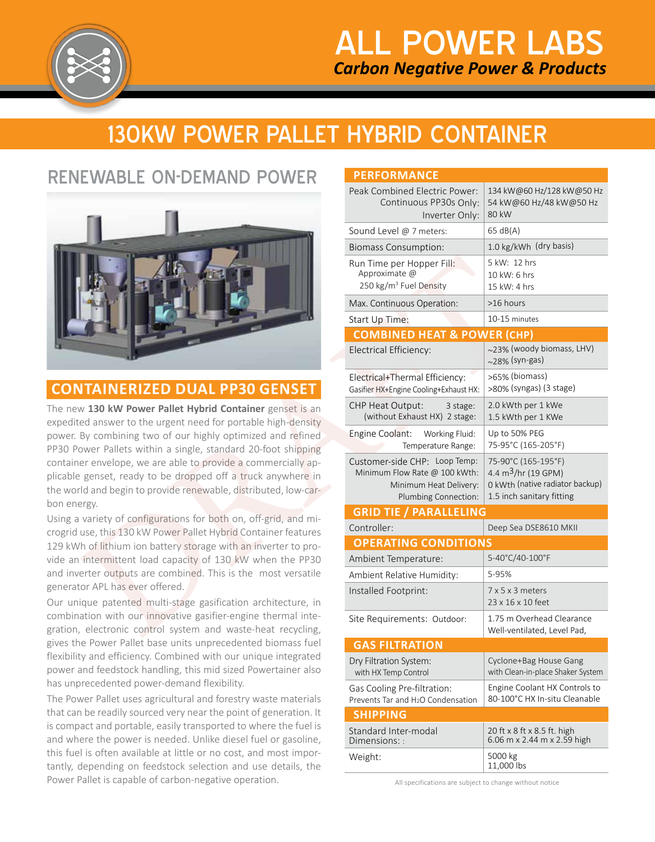

# 130KW POWER PALLET HYBRID CONTAINER

## RENEWABLE ON-DEMAND POWER



The Power Pallet uses agricultural and forestry waste materials that can be readily sourced very near the point of generation. It is compact and portable, easily transported to where the fuel is and where the power is needed. Unlike diesel fuel or gasoline, this fuel is often available at little or no cost, and most importantly, depending on feedstock selection and use details, the Power Pallet is capable of carbon-negative operation.

| RENEWABLE ON-DEMAND POWER                                                                                                                                                                                                                                                                                                                                                                                                                                             | <b>PERFORMANCE</b>                                                                                               |                                                                                                               |  |
|-----------------------------------------------------------------------------------------------------------------------------------------------------------------------------------------------------------------------------------------------------------------------------------------------------------------------------------------------------------------------------------------------------------------------------------------------------------------------|------------------------------------------------------------------------------------------------------------------|---------------------------------------------------------------------------------------------------------------|--|
|                                                                                                                                                                                                                                                                                                                                                                                                                                                                       | Peak Combined Electric Power:<br>Continuous PP30s Only:<br>Inverter Only:                                        | 134 kW@60 Hz/128 kW@50 Hz<br>54 kW@60 Hz/48 kW@50 Hz<br>80 kW                                                 |  |
|                                                                                                                                                                                                                                                                                                                                                                                                                                                                       | Sound Level @ 7 meters:                                                                                          | 65 dB(A)                                                                                                      |  |
|                                                                                                                                                                                                                                                                                                                                                                                                                                                                       | <b>Biomass Consumption:</b>                                                                                      | 1.0 kg/kWh (dry basis)                                                                                        |  |
|                                                                                                                                                                                                                                                                                                                                                                                                                                                                       | Run Time per Hopper Fill:<br>Approximate @<br>250 kg/m <sup>3</sup> Fuel Density                                 | 5 kW: 12 hrs<br>10 kW: 6 hrs<br>15 kW: 4 hrs                                                                  |  |
|                                                                                                                                                                                                                                                                                                                                                                                                                                                                       | Max. Continuous Operation:                                                                                       | >16 hours                                                                                                     |  |
|                                                                                                                                                                                                                                                                                                                                                                                                                                                                       | Start Up Time:                                                                                                   | 10-15 minutes                                                                                                 |  |
|                                                                                                                                                                                                                                                                                                                                                                                                                                                                       | <b>COMBINED HEAT &amp; POWER (CHP)</b>                                                                           |                                                                                                               |  |
|                                                                                                                                                                                                                                                                                                                                                                                                                                                                       | Electrical Efficiency:                                                                                           | ~23% (woody biomass, LHV)<br>$\sim$ 28% (syn-gas)                                                             |  |
| <b>CONTAINERIZED DUAL PP30 GENSET</b>                                                                                                                                                                                                                                                                                                                                                                                                                                 | Electrical+Thermal Efficiency:<br>Gasifier HX+Engine Cooling+Exhaust HX:                                         | >65% (biomass)<br>>80% (syngas) (3 stage)                                                                     |  |
| he new 130 kW Power Pallet Hybrid Container genset is an<br>xpedited answer to the urgent need for portable high-density<br>ower. By combining two of our highly optimized and refined<br>P30 Power Pallets within a single, standard 20-foot shipping<br>ontainer envelope, we are able to provide a commercially ap-<br>licable genset, ready to be dropped off a truck anywhere in<br>he world and begin to provide renewable, distributed, low-car-<br>on energy. | CHP Heat Output:<br>3 stage:<br>(without Exhaust HX) 2 stage:                                                    | 2.0 kWth per 1 kWe<br>1.5 kWth per 1 KWe                                                                      |  |
|                                                                                                                                                                                                                                                                                                                                                                                                                                                                       | Engine Coolant: Working Fluid:<br>Temperature Range:                                                             | Up to 50% PEG<br>75-95°C (165-205°F)                                                                          |  |
|                                                                                                                                                                                                                                                                                                                                                                                                                                                                       | Customer-side CHP: Loop Temp:<br>Minimum Flow Rate @ 100 kWth:<br>Minimum Heat Delivery:<br>Plumbing Connection: | 75-90°C (165-195°F)<br>4.4 $m^3$ /hr (19 GPM)<br>0 kWth (native radiator backup)<br>1.5 inch sanitary fitting |  |
| Ising a variety of configurations for both on, off-grid, and mi-                                                                                                                                                                                                                                                                                                                                                                                                      | <b>GRID TIE / PARALLELING</b>                                                                                    |                                                                                                               |  |
| rogrid use, this 130 kW Power Pallet Hybrid Container features                                                                                                                                                                                                                                                                                                                                                                                                        | Controller:                                                                                                      | Deep Sea DSE8610 MKII                                                                                         |  |
| 29 kWh of lithium ion battery storage with an inverter to pro-                                                                                                                                                                                                                                                                                                                                                                                                        | <b>OPERATING CONDITIONS</b>                                                                                      |                                                                                                               |  |
| ide an intermittent load capacity of 130 kW when the PP30                                                                                                                                                                                                                                                                                                                                                                                                             | Ambient Temperature:                                                                                             | 5-40°C/40-100°F                                                                                               |  |
| nd inverter outputs are combined. This is the most versatile                                                                                                                                                                                                                                                                                                                                                                                                          | Ambient Relative Humidity:                                                                                       | 5-95%                                                                                                         |  |
| enerator APL has ever offered.<br>our unique patented multi-stage gasification architecture, in<br>ombination with our innovative gasifier-engine thermal inte-<br>ration, electronic control system and waste-heat recycling,<br>ives the Power Pallet base units unprecedented biomass fuel                                                                                                                                                                         | Installed Footprint:                                                                                             | $7 \times 5 \times 3$ meters<br>23 x 16 x 10 feet                                                             |  |
|                                                                                                                                                                                                                                                                                                                                                                                                                                                                       | Site Requirements: Outdoor:                                                                                      | 1.75 m Overhead Clearance<br>Well-ventilated, Level Pad,                                                      |  |
|                                                                                                                                                                                                                                                                                                                                                                                                                                                                       | <b>GAS FILTRATION</b>                                                                                            |                                                                                                               |  |
| exibility and efficiency. Combined with our unique integrated<br>ower and feedstock handling, this mid sized Powertainer also                                                                                                                                                                                                                                                                                                                                         | Dry Filtration System:<br>with HX Temp Control                                                                   | Cyclone+Bag House Gang<br>with Clean-in-place Shaker System                                                   |  |
| as unprecedented power-demand flexibility.<br>he Power Pallet uses agricultural and forestry waste materials<br>hat can be readily sourced very near the point of generation. It<br>compact and portable, easily transported to where the fuel is<br>nd where the power is needed. Unlike diesel fuel or gasoline,<br>his fuel is often available at little or no cost, and most impor-<br>antly, depending on feedstock selection and use details, the               | Gas Cooling Pre-filtration:<br>Prevents Tar and H <sub>2</sub> O Condensation                                    | Engine Coolant HX Controls to<br>80-100°C HX In-situ Cleanable                                                |  |
|                                                                                                                                                                                                                                                                                                                                                                                                                                                                       | <b>SHIPPING</b>                                                                                                  |                                                                                                               |  |
|                                                                                                                                                                                                                                                                                                                                                                                                                                                                       | Standard Inter-modal<br>Dimensions::                                                                             | 20 ft x 8 ft x 8.5 ft. high<br>6.06 m x 2.44 m x 2.59 high                                                    |  |
|                                                                                                                                                                                                                                                                                                                                                                                                                                                                       | Weight:                                                                                                          | 5000 kg<br>11,000 lbs                                                                                         |  |

All specifications are subject to change without notice